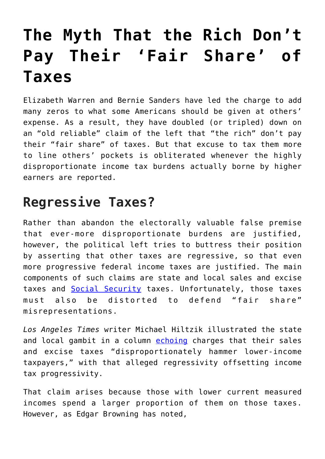## **[The Myth That the Rich Don't](https://intellectualtakeout.org/2019/12/the-myth-that-the-rich-dont-pay-their-fair-share-of-taxes/) [Pay Their 'Fair Share' of](https://intellectualtakeout.org/2019/12/the-myth-that-the-rich-dont-pay-their-fair-share-of-taxes/) [Taxes](https://intellectualtakeout.org/2019/12/the-myth-that-the-rich-dont-pay-their-fair-share-of-taxes/)**

Elizabeth Warren and Bernie Sanders have led the charge to add many zeros to what some Americans should be given at others' expense. As a result, they have doubled (or tripled) down on an "old reliable" claim of the left that "the rich" don't pay their "fair share" of taxes. But that excuse to tax them more to line others' pockets is obliterated whenever the highly disproportionate income tax burdens actually borne by higher earners are reported.

## **Regressive Taxes?**

Rather than abandon the electorally valuable false premise that ever-more disproportionate burdens are justified, however, the political left tries to buttress their position by asserting that other taxes are regressive, so that even more progressive federal income taxes are justified. The main components of such claims are state and local sales and excise taxes and [Social Security](https://fee.org/articles/seven-social-security-myths/) taxes. Unfortunately, those taxes must also be distorted to defend "fair share" misrepresentations.

*Los Angeles Times* writer Michael Hiltzik illustrated the state and local gambit in a column [echoing](https://www.latimes.com/business/hiltzik/la-fi-mh-how-the-states-destroy-the-fairness-20150413-column.html) charges that their sales and excise taxes "disproportionately hammer lower-income taxpayers," with that alleged regressivity offsetting income tax progressivity.

That claim arises because those with lower current measured incomes spend a larger proportion of them on those taxes. However, as Edgar Browning has noted,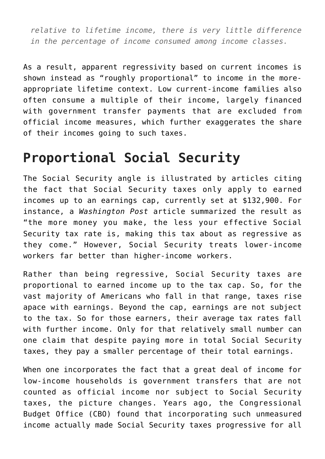*relative to lifetime income, there is very little difference in the percentage of income consumed among income classes.*

As a result, apparent regressivity based on current incomes is shown instead as "roughly proportional" to income in the moreappropriate lifetime context. Low current-income families also often consume a multiple of their income, largely financed with government transfer payments that are excluded from official income measures, which further exaggerates the share of their incomes going to such taxes.

## **Proportional Social Security**

The Social Security angle is illustrated by articles citing the fact that Social Security taxes only apply to earned incomes up to an earnings cap, currently set at \$132,900. For instance, a *Washington Post* article summarized the result as "the more money you make, the less your effective Social Security tax rate is, making this tax about as regressive as they come." However, Social Security treats lower-income workers far better than higher-income workers.

Rather than being regressive, Social Security taxes are proportional to earned income up to the tax cap. So, for the vast majority of Americans who fall in that range, taxes rise apace with earnings. Beyond the cap, earnings are not subject to the tax. So for those earners, their average tax rates fall with further income. Only for that relatively small number can one claim that despite paying more in total Social Security taxes, they pay a smaller percentage of their total earnings.

When one incorporates the fact that a great deal of income for low-income households is government transfers that are not counted as official income nor subject to Social Security taxes, the picture changes. Years ago, the Congressional Budget Office (CBO) found that incorporating such unmeasured income actually made Social Security taxes progressive for all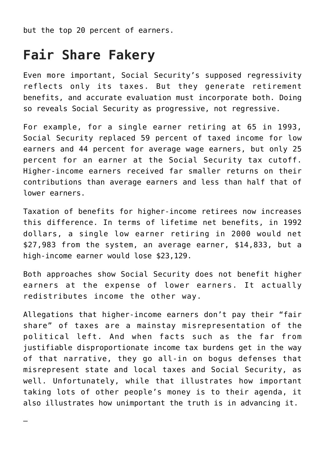but the top 20 percent of earners.

## **Fair Share Fakery**

—

Even more important, Social Security's supposed regressivity reflects only its taxes. But they generate retirement benefits, and accurate evaluation must incorporate both. Doing so reveals Social Security as progressive, not regressive.

For example, for a single earner retiring at 65 in 1993, Social Security replaced 59 percent of taxed income for low earners and 44 percent for average wage earners, but only 25 percent for an earner at the Social Security tax cutoff. Higher-income earners received far smaller returns on their contributions than average earners and less than half that of lower earners.

Taxation of benefits for higher-income retirees now increases this difference. In terms of lifetime net benefits, in 1992 dollars, a single low earner retiring in 2000 would net \$27,983 from the system, an average earner, \$14,833, but a high-income earner would lose \$23,129.

Both approaches show Social Security does not benefit higher earners at the expense of lower earners. It actually redistributes income the other way.

Allegations that higher-income earners don't pay their "fair share" of taxes are a mainstay misrepresentation of the political left. And when facts such as the far from justifiable disproportionate income tax burdens get in the way of that narrative, they go all-in on bogus defenses that misrepresent state and local taxes and Social Security, as well. Unfortunately, while that illustrates how important taking lots of other people's money is to their agenda, it also illustrates how unimportant the truth is in advancing it.